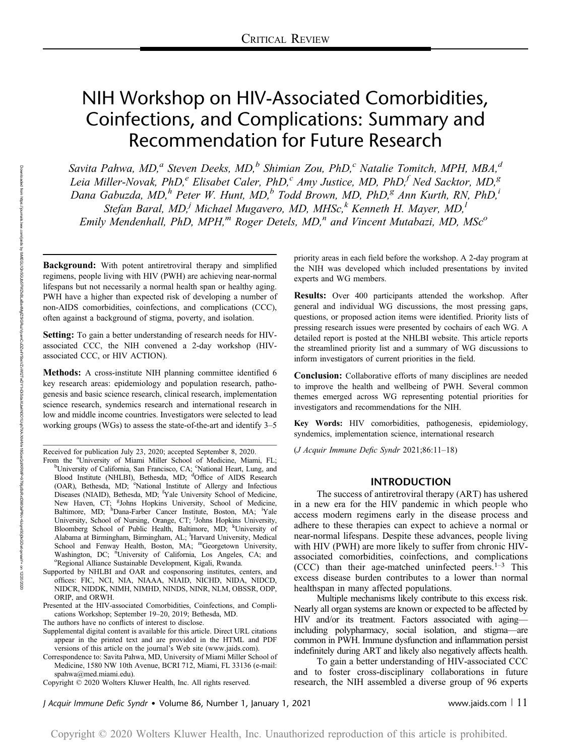# NIH Workshop on HIV-Associated Comorbidities, Coinfections, and Complications: Summary and Recommendation for Future Research

Savita Pahwa, MD,<sup>a</sup> Steven Deeks, MD,<sup>b</sup> Shimian Zou, PhD,<sup>c</sup> Natalie Tomitch, MPH, MBA,<sup>d</sup> Leia Miller-Novak, PhD, $^e$  Elisabet Caler, PhD, $^c$  Amy Justice, MD, PhD, $^f$  Ned Sacktor, MD, $^g$ Dana Gabuzda, MD, $^h$  Peter W. Hunt, MD, $^b$  Todd Brown, MD, PhD, $^g$  Ann Kurth, RN, PhD, $^i$ Stefan Baral, MD,<sup>j</sup> Michael Mugavero, MD, MHSc,<sup>k</sup> Kenneth H. Mayer, MD,<sup>l</sup> Emily Mendenhall, PhD, MPH,<sup>m</sup> Roger Detels, MD,<sup>n</sup> and Vincent Mutabazi, MD, MSc<sup>o</sup>

Background: With potent antiretroviral therapy and simplified regimens, people living with HIV (PWH) are achieving near-normal lifespans but not necessarily a normal health span or healthy aging. PWH have a higher than expected risk of developing a number of non-AIDS comorbidities, coinfections, and complications (CCC), often against a background of stigma, poverty, and isolation.

Setting: To gain a better understanding of research needs for HIVassociated CCC, the NIH convened a 2-day workshop (HIVassociated CCC, or HIV ACTION).

Methods: A cross-institute NIH planning committee identified 6 key research areas: epidemiology and population research, pathogenesis and basic science research, clinical research, implementation science research, syndemics research and international research in low and middle income countries. Investigators were selected to lead working groups (WGs) to assess the state-of-the-art and identify 3–5

Received for publication July 23, 2020; accepted September 8, 2020.

Supplemental digital content is available for this article. Direct URL citations appear in the printed text and are provided in the HTML and PDF versions of this article on the journal's Web site (www.jaids.com).

priority areas in each field before the workshop. A 2-day program at the NIH was developed which included presentations by invited experts and WG members.

Results: Over 400 participants attended the workshop. After general and individual WG discussions, the most pressing gaps, questions, or proposed action items were identified. Priority lists of pressing research issues were presented by cochairs of each WG. A detailed report is posted at the NHLBI website. This article reports the streamlined priority list and a summary of WG discussions to inform investigators of current priorities in the field.

Conclusion: Collaborative efforts of many disciplines are needed to improve the health and wellbeing of PWH. Several common themes emerged across WG representing potential priorities for investigators and recommendations for the NIH.

Key Words: HIV comorbidities, pathogenesis, epidemiology, syndemics, implementation science, international research

(J Acquir Immune Defic Syndr 2021;86:11–18)

#### INTRODUCTION

The success of antiretroviral therapy (ART) has ushered in a new era for the HIV pandemic in which people who access modern regimens early in the disease process and adhere to these therapies can expect to achieve a normal or near-normal lifespans. Despite these advances, people living with HIV (PWH) are more likely to suffer from chronic HIVassociated comorbidities, coinfections, and complications (CCC) than their age-matched uninfected peers. $1-3$  This excess disease burden contributes to a lower than normal healthspan in many affected populations.

Multiple mechanisms likely contribute to this excess risk. Nearly all organ systems are known or expected to be affected by HIV and/or its treatment. Factors associated with aging including polypharmacy, social isolation, and stigma—are common in PWH. Immune dysfunction and inflammation persist indefinitely during ART and likely also negatively affects health.

To gain a better understanding of HIV-associated CCC and to foster cross-disciplinary collaborations in future research, the NIH assembled a diverse group of 96 experts

From the <sup>a</sup>University of Miami Miller School of Medicine, Miami, FL;<br><sup>b</sup>University of Colifornia San Ennesisco, CA: "National Heart Lung and University of California, San Francisco, CA; 'National Heart, Lung, and Blood Institute (NHLBI), Bethesda, MD; <sup>d</sup>Office of AIDS Research (OAR), Bethesda, MD; <sup>e</sup>National Institute of Allergy and Infectious Diseases (NIAID), Bethesda, MD; <sup>f</sup>Yale University School of Medicine, New Haven, CT; <sup>g</sup>Johns Hopkins University, School of Medicine, Baltimore, MD; <sup>h</sup>Dana-Farber Cancer Institute, Boston, MA; <sup>i</sup>Yale University, School of Nursing, Orange, CT; <sup>j</sup>Johns Hopkins University, Bloomberg School of Public Health, Baltimore, MD; kUniversity of Alabama at Birmingham, Birmingham, AL; <sup>1</sup>Harvard University, Medical School and Fenway Health, Boston, MA; <sup>m</sup>Georgetown University, Washington, DC; <sup>n</sup>University of California, Los Angeles, CA; and <sup>o</sup>Persional Alliance Sustainable Development Kigoli Payanda Regional Alliance Sustainable Development, Kigali, Rwanda.

Supported by NHLBI and OAR and cosponsoring institutes, centers, and offices: FIC, NCI, NIA, NIAAA, NIAID, NICHD, NIDA, NIDCD, NIDCR, NIDDK, NIMH, NIMHD, NINDS, NINR, NLM, OBSSR, ODP, ORIP, and ORWH.

Presented at the HIV-associated Comorbidities, Coinfections, and Complications Workshop; September 19–20, 2019; Bethesda, MD.

The authors have no conflicts of interest to disclose.

Correspondence to: Savita Pahwa, MD, University of Miami Miller School of Medicine, 1580 NW 10th Avenue, BCRI 712, Miami, FL 33136 (e-mail: [spahwa@med.miami.edu\)](mailto:spahwa@med.miami.edu).

Copyright © 2020 Wolters Kluwer Health, Inc. All rights reserved.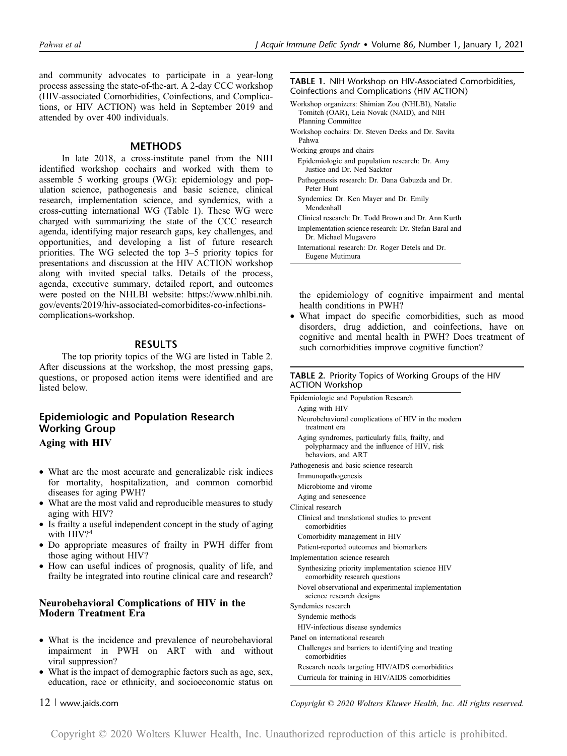and community advocates to participate in a year-long process assessing the state-of-the-art. A 2-day CCC workshop (HIV-associated Comorbidities, Coinfections, and Complications, or HIV ACTION) was held in September 2019 and attended by over 400 individuals.

#### **METHODS**

In late 2018, a cross-institute panel from the NIH identified workshop cochairs and worked with them to assemble 5 working groups (WG): epidemiology and population science, pathogenesis and basic science, clinical research, implementation science, and syndemics, with a cross-cutting international WG (Table 1). These WG were charged with summarizing the state of the CCC research agenda, identifying major research gaps, key challenges, and opportunities, and developing a list of future research priorities. The WG selected the top 3–5 priority topics for presentations and discussion at the HIV ACTION workshop along with invited special talks. Details of the process, agenda, executive summary, detailed report, and outcomes were posted on the NHLBI website: [https://www.nhlbi.nih.](https://www.nhlbi.nih.gov/events/2019/hiv-associated-comorbidites-co-infections-complications-workshop) [gov/events/2019/hiv-associated-comorbidites-co-infections](https://www.nhlbi.nih.gov/events/2019/hiv-associated-comorbidites-co-infections-complications-workshop)[complications-workshop.](https://www.nhlbi.nih.gov/events/2019/hiv-associated-comorbidites-co-infections-complications-workshop)

#### RESULTS

The top priority topics of the WG are listed in Table 2. After discussions at the workshop, the most pressing gaps, questions, or proposed action items were identified and are listed below.

# Epidemiologic and Population Research Working Group Aging with HIV

- What are the most accurate and generalizable risk indices for mortality, hospitalization, and common comorbid diseases for aging PWH?
- What are the most valid and reproducible measures to study aging with HIV?
- Is frailty a useful independent concept in the study of aging with HIV?<sup>4</sup>
- Do appropriate measures of frailty in PWH differ from those aging without HIV?
- How can useful indices of prognosis, quality of life, and frailty be integrated into routine clinical care and research?

#### Neurobehavioral Complications of HIV in the Modern Treatment Era

- What is the incidence and prevalence of neurobehavioral impairment in PWH on ART with and without viral suppression?
- What is the impact of demographic factors such as age, sex, education, race or ethnicity, and socioeconomic status on

TABLE 1. NIH Workshop on HIV-Associated Comorbidities, Coinfections and Complications (HIV ACTION)

- Workshop organizers: Shimian Zou (NHLBI), Natalie Tomitch (OAR), Leia Novak (NAID), and NIH Planning Committee
- Workshop cochairs: Dr. Steven Deeks and Dr. Savita Pahwa

Working groups and chairs

- Epidemiologic and population research: Dr. Amy Justice and Dr. Ned Sacktor
- Pathogenesis research: Dr. Dana Gabuzda and Dr. Peter Hunt
- Syndemics: Dr. Ken Mayer and Dr. Emily Mendenhall
- Clinical research: Dr. Todd Brown and Dr. Ann Kurth
- Implementation science research: Dr. Stefan Baral and Dr. Michael Mugavero
- International research: Dr. Roger Detels and Dr. Eugene Mutimura

the epidemiology of cognitive impairment and mental health conditions in PWH?

• What impact do specific comorbidities, such as mood disorders, drug addiction, and coinfections, have on cognitive and mental health in PWH? Does treatment of such comorbidities improve cognitive function?

#### TABLE 2. Priority Topics of Working Groups of the HIV ACTION Workshop

12 <sup>|</sup> www.jaids.com Copyright © 2020 Wolters Kluwer Health, Inc. All rights reserved.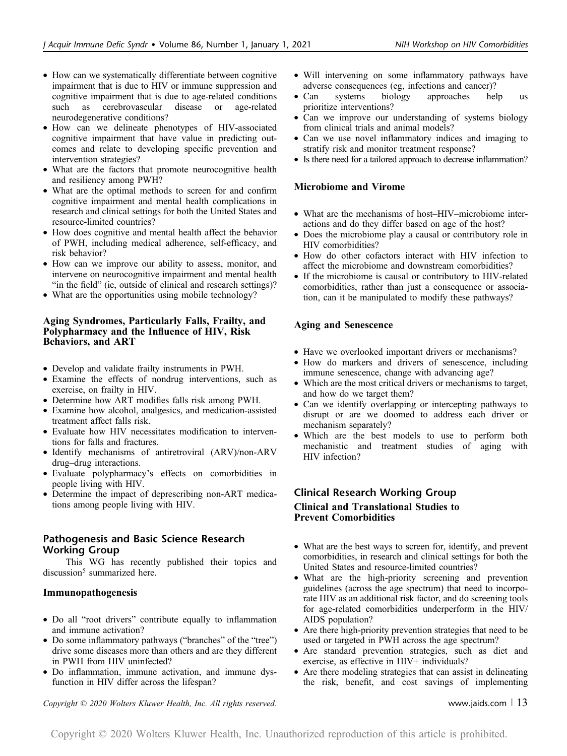- How can we systematically differentiate between cognitive impairment that is due to HIV or immune suppression and cognitive impairment that is due to age-related conditions such as cerebrovascular disease or age-related neurodegenerative conditions?
- How can we delineate phenotypes of HIV-associated cognitive impairment that have value in predicting outcomes and relate to developing specific prevention and intervention strategies?
- What are the factors that promote neurocognitive health and resiliency among PWH?
- What are the optimal methods to screen for and confirm cognitive impairment and mental health complications in research and clinical settings for both the United States and resource-limited countries?
- How does cognitive and mental health affect the behavior of PWH, including medical adherence, self-efficacy, and risk behavior?
- How can we improve our ability to assess, monitor, and intervene on neurocognitive impairment and mental health "in the field" (ie, outside of clinical and research settings)?
- What are the opportunities using mobile technology?

#### Aging Syndromes, Particularly Falls, Frailty, and Polypharmacy and the Influence of HIV, Risk Behaviors, and ART

- Develop and validate frailty instruments in PWH.
- Examine the effects of nondrug interventions, such as exercise, on frailty in HIV.
- Determine how ART modifies falls risk among PWH.
- Examine how alcohol, analgesics, and medication-assisted treatment affect falls risk.
- Evaluate how HIV necessitates modification to interventions for falls and fractures.
- Identify mechanisms of antiretroviral (ARV)/non-ARV drug–drug interactions.
- Evaluate polypharmacy's effects on comorbidities in people living with HIV.
- Determine the impact of deprescribing non-ART medications among people living with HIV.

# Pathogenesis and Basic Science Research Working Group

This WG has recently published their topics and discussion<sup>5</sup> summarized here.

#### Immunopathogenesis

- Do all "root drivers" contribute equally to inflammation and immune activation?
- Do some inflammatory pathways ("branches" of the "tree") drive some diseases more than others and are they different in PWH from HIV uninfected?
- Do inflammation, immune activation, and immune dysfunction in HIV differ across the lifespan?

Copyright  $\heartsuit$  2020 Wolters Kluwer Health, Inc. All rights reserved. www.jaids.com | 13

- Will intervening on some inflammatory pathways have adverse consequences (eg, infections and cancer)?
- Can systems biology approaches help us prioritize interventions?
- Can we improve our understanding of systems biology from clinical trials and animal models?
- Can we use novel inflammatory indices and imaging to stratify risk and monitor treatment response?
- Is there need for a tailored approach to decrease inflammation?

#### Microbiome and Virome

- What are the mechanisms of host–HIV–microbiome interactions and do they differ based on age of the host?
- Does the microbiome play a causal or contributory role in HIV comorbidities?
- How do other cofactors interact with HIV infection to affect the microbiome and downstream comorbidities?
- If the microbiome is causal or contributory to HIV-related comorbidities, rather than just a consequence or association, can it be manipulated to modify these pathways?

## Aging and Senescence

- Have we overlooked important drivers or mechanisms?
- How do markers and drivers of senescence, including immune senescence, change with advancing age?
- Which are the most critical drivers or mechanisms to target, and how do we target them?
- Can we identify overlapping or intercepting pathways to disrupt or are we doomed to address each driver or mechanism separately?
- Which are the best models to use to perform both mechanistic and treatment studies of aging with HIV infection?

# Clinical Research Working Group Clinical and Translational Studies to Prevent Comorbidities

- What are the best ways to screen for, identify, and prevent comorbidities, in research and clinical settings for both the United States and resource-limited countries?
- What are the high-priority screening and prevention guidelines (across the age spectrum) that need to incorporate HIV as an additional risk factor, and do screening tools for age-related comorbidities underperform in the HIV/ AIDS population?
- Are there high-priority prevention strategies that need to be used or targeted in PWH across the age spectrum?
- Are standard prevention strategies, such as diet and exercise, as effective in HIV+ individuals?
- Are there modeling strategies that can assist in delineating the risk, benefit, and cost savings of implementing

Copyright © 2020 Wolters Kluwer Health, Inc. Unauthorized reproduction of this article is prohibited.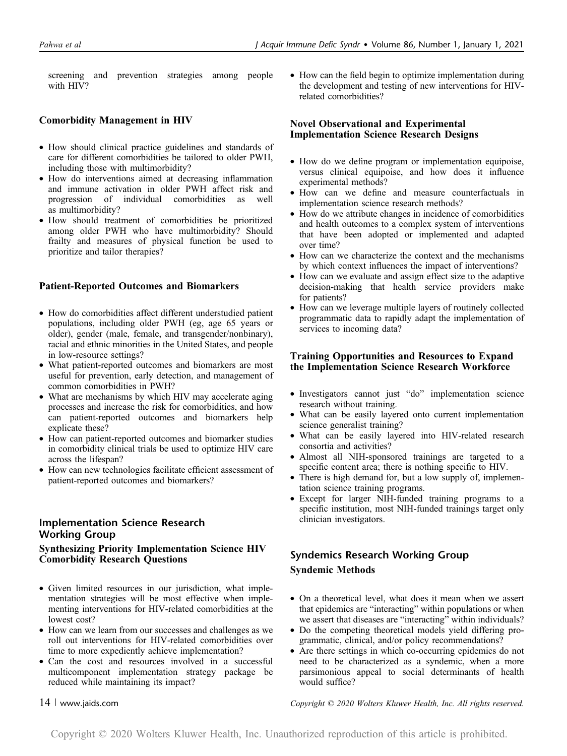screening and prevention strategies among people with HIV?

# Comorbidity Management in HIV

- How should clinical practice guidelines and standards of care for different comorbidities be tailored to older PWH, including those with multimorbidity?
- How do interventions aimed at decreasing inflammation and immune activation in older PWH affect risk and progression of individual comorbidities as well as multimorbidity?
- How should treatment of comorbidities be prioritized among older PWH who have multimorbidity? Should frailty and measures of physical function be used to prioritize and tailor therapies?

## Patient-Reported Outcomes and Biomarkers

- How do comorbidities affect different understudied patient populations, including older PWH (eg, age 65 years or older), gender (male, female, and transgender/nonbinary), racial and ethnic minorities in the United States, and people in low-resource settings?
- What patient-reported outcomes and biomarkers are most useful for prevention, early detection, and management of common comorbidities in PWH?
- What are mechanisms by which HIV may accelerate aging processes and increase the risk for comorbidities, and how can patient-reported outcomes and biomarkers help explicate these?
- How can patient-reported outcomes and biomarker studies in comorbidity clinical trials be used to optimize HIV care across the lifespan?
- How can new technologies facilitate efficient assessment of patient-reported outcomes and biomarkers?

# Implementation Science Research Working Group

#### Synthesizing Priority Implementation Science HIV Comorbidity Research Questions

- Given limited resources in our jurisdiction, what implementation strategies will be most effective when implementing interventions for HIV-related comorbidities at the lowest cost?
- How can we learn from our successes and challenges as we roll out interventions for HIV-related comorbidities over time to more expediently achieve implementation?
- Can the cost and resources involved in a successful multicomponent implementation strategy package be reduced while maintaining its impact?

• How can the field begin to optimize implementation during the development and testing of new interventions for HIVrelated comorbidities?

#### Novel Observational and Experimental Implementation Science Research Designs

- How do we define program or implementation equipoise, versus clinical equipoise, and how does it influence experimental methods?
- How can we define and measure counterfactuals in implementation science research methods?
- How do we attribute changes in incidence of comorbidities and health outcomes to a complex system of interventions that have been adopted or implemented and adapted over time?
- How can we characterize the context and the mechanisms by which context influences the impact of interventions?
- How can we evaluate and assign effect size to the adaptive decision-making that health service providers make for patients?
- How can we leverage multiple layers of routinely collected programmatic data to rapidly adapt the implementation of services to incoming data?

#### Training Opportunities and Resources to Expand the Implementation Science Research Workforce

- Investigators cannot just "do" implementation science research without training.
- What can be easily layered onto current implementation science generalist training?
- What can be easily layered into HIV-related research consortia and activities?
- Almost all NIH-sponsored trainings are targeted to a specific content area; there is nothing specific to HIV.
- There is high demand for, but a low supply of, implementation science training programs.
- Except for larger NIH-funded training programs to a specific institution, most NIH-funded trainings target only clinician investigators.

# Syndemics Research Working Group Syndemic Methods

- On a theoretical level, what does it mean when we assert that epidemics are "interacting" within populations or when we assert that diseases are "interacting" within individuals?
- Do the competing theoretical models yield differing programmatic, clinical, and/or policy recommendations?
- Are there settings in which co-occurring epidemics do not need to be characterized as a syndemic, when a more parsimonious appeal to social determinants of health would suffice?

14 <sup>|</sup> www.jaids.com Copyright © 2020 Wolters Kluwer Health, Inc. All rights reserved.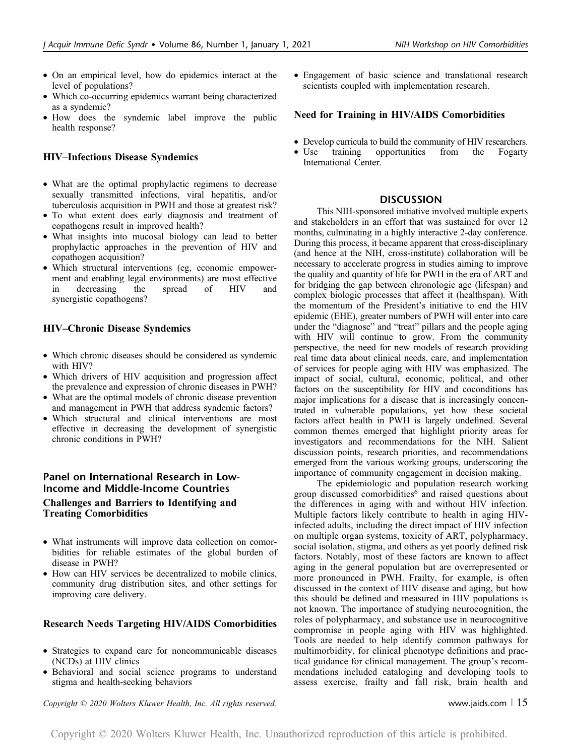- On an empirical level, how do epidemics interact at the level of populations?
- Which co-occurring epidemics warrant being characterized as a syndemic?
- How does the syndemic label improve the public health response?

#### HIV–Infectious Disease Syndemics

- What are the optimal prophylactic regimens to decrease sexually transmitted infections, viral hepatitis, and/or tuberculosis acquisition in PWH and those at greatest risk?
- To what extent does early diagnosis and treatment of copathogens result in improved health?
- What insights into mucosal biology can lead to better prophylactic approaches in the prevention of HIV and copathogen acquisition?
- Which structural interventions (eg, economic empowerment and enabling legal environments) are most effective in decreasing the spread of HIV and synergistic copathogens?

#### HIV–Chronic Disease Syndemics

- Which chronic diseases should be considered as syndemic with HIV?
- Which drivers of HIV acquisition and progression affect the prevalence and expression of chronic diseases in PWH?
- What are the optimal models of chronic disease prevention and management in PWH that address syndemic factors?
- Which structural and clinical interventions are most effective in decreasing the development of synergistic chronic conditions in PWH?

#### Panel on International Research in Low-Income and Middle-Income Countries

#### Challenges and Barriers to Identifying and Treating Comorbidities

- What instruments will improve data collection on comorbidities for reliable estimates of the global burden of disease in PWH?
- How can HIV services be decentralized to mobile clinics, community drug distribution sites, and other settings for improving care delivery.

#### Research Needs Targeting HIV/AIDS Comorbidities

- Strategies to expand care for noncommunicable diseases (NCDs) at HIV clinics
- Behavioral and social science programs to understand stigma and health-seeking behaviors

• Engagement of basic science and translational research scientists coupled with implementation research.

#### Need for Training in HIV/AIDS Comorbidities

- Develop curricula to build the community of HIV researchers.<br>• Use training opportunities from the Fogarty
- Use training opportunities from the Fogarty International Center.

#### **DISCUSSION**

This NIH-sponsored initiative involved multiple experts and stakeholders in an effort that was sustained for over 12 months, culminating in a highly interactive 2-day conference. During this process, it became apparent that cross-disciplinary (and hence at the NIH, cross-institute) collaboration will be necessary to accelerate progress in studies aiming to improve the quality and quantity of life for PWH in the era of ART and for bridging the gap between chronologic age (lifespan) and complex biologic processes that affect it (healthspan). With the momentum of the President's initiative to end the HIV epidemic (EHE), greater numbers of PWH will enter into care under the "diagnose" and "treat" pillars and the people aging with HIV will continue to grow. From the community perspective, the need for new models of research providing real time data about clinical needs, care, and implementation of services for people aging with HIV was emphasized. The impact of social, cultural, economic, political, and other factors on the susceptibility for HIV and coconditions has major implications for a disease that is increasingly concentrated in vulnerable populations, yet how these societal factors affect health in PWH is largely undefined. Several common themes emerged that highlight priority areas for investigators and recommendations for the NIH. Salient discussion points, research priorities, and recommendations emerged from the various working groups, underscoring the importance of community engagement in decision making.

The epidemiologic and population research working group discussed comorbidities<sup>6</sup> and raised questions about the differences in aging with and without HIV infection. Multiple factors likely contribute to health in aging HIVinfected adults, including the direct impact of HIV infection on multiple organ systems, toxicity of ART, polypharmacy, social isolation, stigma, and others as yet poorly defined risk factors. Notably, most of these factors are known to affect aging in the general population but are overrepresented or more pronounced in PWH. Frailty, for example, is often discussed in the context of HIV disease and aging, but how this should be defined and measured in HIV populations is not known. The importance of studying neurocognition, the roles of polypharmacy, and substance use in neurocognitive compromise in people aging with HIV was highlighted. Tools are needed to help identify common pathways for multimorbidity, for clinical phenotype definitions and practical guidance for clinical management. The group's recommendations included cataloging and developing tools to assess exercise, frailty and fall risk, brain health and

Copyright  $\heartsuit$  2020 Wolters Kluwer Health, Inc. All rights reserved. www.jaids.com | 15

Copyright © 2020 Wolters Kluwer Health, Inc. Unauthorized reproduction of this article is prohibited.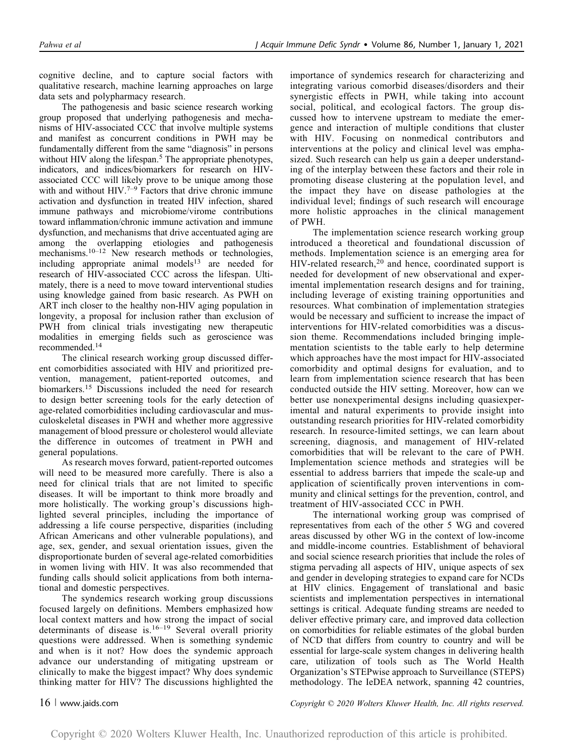cognitive decline, and to capture social factors with qualitative research, machine learning approaches on large data sets and polypharmacy research.

The pathogenesis and basic science research working group proposed that underlying pathogenesis and mechanisms of HIV-associated CCC that involve multiple systems and manifest as concurrent conditions in PWH may be fundamentally different from the same "diagnosis" in persons without HIV along the lifespan.<sup>5</sup> The appropriate phenotypes, indicators, and indices/biomarkers for research on HIVassociated CCC will likely prove to be unique among those with and without HIV.<sup>7–9</sup> Factors that drive chronic immune activation and dysfunction in treated HIV infection, shared immune pathways and microbiome/virome contributions toward inflammation/chronic immune activation and immune dysfunction, and mechanisms that drive accentuated aging are among the overlapping etiologies and pathogenesis mechanisms.10–<sup>12</sup> New research methods or technologies, including appropriate animal models $13$  are needed for research of HIV-associated CCC across the lifespan. Ultimately, there is a need to move toward interventional studies using knowledge gained from basic research. As PWH on ART inch closer to the healthy non-HIV aging population in longevity, a proposal for inclusion rather than exclusion of PWH from clinical trials investigating new therapeutic modalities in emerging fields such as geroscience was recommended.<sup>14</sup>

The clinical research working group discussed different comorbidities associated with HIV and prioritized prevention, management, patient-reported outcomes, and biomarkers.<sup>15</sup> Discussions included the need for research to design better screening tools for the early detection of age-related comorbidities including cardiovascular and musculoskeletal diseases in PWH and whether more aggressive management of blood pressure or cholesterol would alleviate the difference in outcomes of treatment in PWH and general populations.

As research moves forward, patient-reported outcomes will need to be measured more carefully. There is also a need for clinical trials that are not limited to specific diseases. It will be important to think more broadly and more holistically. The working group's discussions highlighted several principles, including the importance of addressing a life course perspective, disparities (including African Americans and other vulnerable populations), and age, sex, gender, and sexual orientation issues, given the disproportionate burden of several age-related comorbidities in women living with HIV. It was also recommended that funding calls should solicit applications from both international and domestic perspectives.

The syndemics research working group discussions focused largely on definitions. Members emphasized how local context matters and how strong the impact of social determinants of disease is.16–<sup>19</sup> Several overall priority questions were addressed. When is something syndemic and when is it not? How does the syndemic approach advance our understanding of mitigating upstream or clinically to make the biggest impact? Why does syndemic thinking matter for HIV? The discussions highlighted the

importance of syndemics research for characterizing and integrating various comorbid diseases/disorders and their synergistic effects in PWH, while taking into account social, political, and ecological factors. The group discussed how to intervene upstream to mediate the emergence and interaction of multiple conditions that cluster with HIV. Focusing on nonmedical contributors and interventions at the policy and clinical level was emphasized. Such research can help us gain a deeper understanding of the interplay between these factors and their role in promoting disease clustering at the population level, and the impact they have on disease pathologies at the individual level; findings of such research will encourage more holistic approaches in the clinical management of PWH.

The implementation science research working group introduced a theoretical and foundational discussion of methods. Implementation science is an emerging area for  $HIV$ -related research,<sup>20</sup> and hence, coordinated support is needed for development of new observational and experimental implementation research designs and for training, including leverage of existing training opportunities and resources. What combination of implementation strategies would be necessary and sufficient to increase the impact of interventions for HIV-related comorbidities was a discussion theme. Recommendations included bringing implementation scientists to the table early to help determine which approaches have the most impact for HIV-associated comorbidity and optimal designs for evaluation, and to learn from implementation science research that has been conducted outside the HIV setting. Moreover, how can we better use nonexperimental designs including quasiexperimental and natural experiments to provide insight into outstanding research priorities for HIV-related comorbidity research. In resource-limited settings, we can learn about screening, diagnosis, and management of HIV-related comorbidities that will be relevant to the care of PWH. Implementation science methods and strategies will be essential to address barriers that impede the scale-up and application of scientifically proven interventions in community and clinical settings for the prevention, control, and treatment of HIV-associated CCC in PWH.

The international working group was comprised of representatives from each of the other 5 WG and covered areas discussed by other WG in the context of low-income and middle-income countries. Establishment of behavioral and social science research priorities that include the roles of stigma pervading all aspects of HIV, unique aspects of sex and gender in developing strategies to expand care for NCDs at HIV clinics. Engagement of translational and basic scientists and implementation perspectives in international settings is critical. Adequate funding streams are needed to deliver effective primary care, and improved data collection on comorbidities for reliable estimates of the global burden of NCD that differs from country to country and will be essential for large-scale system changes in delivering health care, utilization of tools such as The World Health Organization's STEPwise approach to Surveillance (STEPS) methodology. The IeDEA network, spanning 42 countries,

16 <sup>|</sup> www.jaids.com Copyright © 2020 Wolters Kluwer Health, Inc. All rights reserved.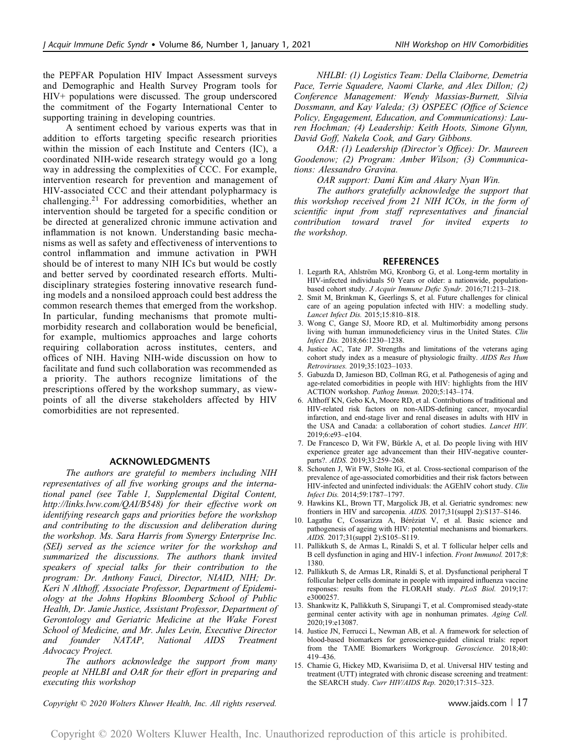the PEPFAR Population HIV Impact Assessment surveys and Demographic and Health Survey Program tools for HIV+ populations were discussed. The group underscored the commitment of the Fogarty International Center to supporting training in developing countries.

A sentiment echoed by various experts was that in addition to efforts targeting specific research priorities within the mission of each Institute and Centers (IC), a coordinated NIH-wide research strategy would go a long way in addressing the complexities of CCC. For example, intervention research for prevention and management of HIV-associated CCC and their attendant polypharmacy is challenging.<sup>21</sup> For addressing comorbidities, whether an intervention should be targeted for a specific condition or be directed at generalized chronic immune activation and inflammation is not known. Understanding basic mechanisms as well as safety and effectiveness of interventions to control inflammation and immune activation in PWH should be of interest to many NIH ICs but would be costly and better served by coordinated research efforts. Multidisciplinary strategies fostering innovative research funding models and a nonsiloed approach could best address the common research themes that emerged from the workshop. In particular, funding mechanisms that promote multimorbidity research and collaboration would be beneficial, for example, multiomics approaches and large cohorts requiring collaboration across institutes, centers, and offices of NIH. Having NIH-wide discussion on how to facilitate and fund such collaboration was recommended as a priority. The authors recognize limitations of the prescriptions offered by the workshop summary, as viewpoints of all the diverse stakeholders affected by HIV comorbidities are not represented.

#### ACKNOWLEDGMENTS

The authors are grateful to members including NIH representatives of all five working groups and the international panel (see Table 1, Supplemental Digital Content, [http://links.lww.com/QAI/B548\)](http://links.lww.com/QAI/B548) for their effective work on identifying research gaps and priorities before the workshop and contributing to the discussion and deliberation during the workshop. Ms. Sara Harris from Synergy Enterprise Inc. (SEI) served as the science writer for the workshop and summarized the discussions. The authors thank invited speakers of special talks for their contribution to the program: Dr. Anthony Fauci, Director, NIAID, NIH; Dr. Keri N Althoff, Associate Professor, Department of Epidemiology at the Johns Hopkins Bloomberg School of Public Health, Dr. Jamie Justice, Assistant Professor, Department of Gerontology and Geriatric Medicine at the Wake Forest School of Medicine, and Mr. Jules Levin, Executive Director and founder NATAP, National AIDS Treatment Advocacy Project.

The authors acknowledge the support from many people at NHLBI and OAR for their effort in preparing and executing this workshop

NHLBI: (1) Logistics Team: Della Claiborne, Demetria Pace, Terrie Squadere, Naomi Clarke, and Alex Dillon; (2) Conference Management: Wendy Massias-Burnett, Silvia Dossmann, and Kay Valeda; (3) OSPEEC (Office of Science Policy, Engagement, Education, and Communications): Lauren Hochman; (4) Leadership: Keith Hoots, Simone Glynn, David Goff, Nakela Cook, and Gary Gibbons.

OAR: (1) Leadership (Director's Office): Dr. Maureen Goodenow; (2) Program: Amber Wilson; (3) Communications: Alessandro Gravina.

OAR support: Dami Kim and Akary Nyan Win.

The authors gratefully acknowledge the support that this workshop received from 21 NIH ICOs, in the form of scientific input from staff representatives and financial contribution toward travel for invited experts to the workshop.

#### **REFERENCES**

- 1. Legarth RA, Ahlström MG, Kronborg G, et al. Long-term mortality in HIV-infected individuals 50 Years or older: a nationwide, populationbased cohort study. J Acquir Immune Defic Syndr. 2016;71:213–218.
- 2. Smit M, Brinkman K, Geerlings S, et al. Future challenges for clinical care of an ageing population infected with HIV: a modelling study. Lancet Infect Dis. 2015;15:810–818.
- 3. Wong C, Gange SJ, Moore RD, et al. Multimorbidity among persons living with human immunodeficiency virus in the United States. Clin Infect Dis. 2018;66:1230–1238.
- 4. Justice AC, Tate JP. Strengths and limitations of the veterans aging cohort study index as a measure of physiologic frailty. AIDS Res Hum Retroviruses. 2019;35:1023–1033.
- 5. Gabuzda D, Jamieson BD, Collman RG, et al. Pathogenesis of aging and age-related comorbidities in people with HIV: highlights from the HIV ACTION workshop. Pathog Immun. 2020;5:143–174.
- 6. Althoff KN, Gebo KA, Moore RD, et al. Contributions of traditional and HIV-related risk factors on non-AIDS-defining cancer, myocardial infarction, and end-stage liver and renal diseases in adults with HIV in the USA and Canada: a collaboration of cohort studies. Lancet HIV. 2019;6:e93–e104.
- 7. De Francesco D, Wit FW, Bürkle A, et al. Do people living with HIV experience greater age advancement than their HIV-negative counterparts?. AIDS. 2019;33:259–268.
- 8. Schouten J, Wit FW, Stolte IG, et al. Cross-sectional comparison of the prevalence of age-associated comorbidities and their risk factors between HIV-infected and uninfected individuals: the AGEhIV cohort study. Clin Infect Dis. 2014;59:1787–1797.
- 9. Hawkins KL, Brown TT, Margolick JB, et al. Geriatric syndromes: new frontiers in HIV and sarcopenia. AIDS. 2017;31(suppl 2):S137–S146.
- 10. Lagathu C, Cossarizza A, Béréziat V, et al. Basic science and pathogenesis of ageing with HIV: potential mechanisms and biomarkers. AIDS. 2017;31(suppl 2):S105–S119.
- 11. Pallikkuth S, de Armas L, Rinaldi S, et al. T follicular helper cells and B cell dysfunction in aging and HIV-1 infection. Front Immunol. 2017;8: 1380.
- 12. Pallikkuth S, de Armas LR, Rinaldi S, et al. Dysfunctional peripheral T follicular helper cells dominate in people with impaired influenza vaccine responses: results from the FLORAH study. PLoS Biol. 2019;17: e3000257.
- 13. Shankwitz K, Pallikkuth S, Sirupangi T, et al. Compromised steady-state germinal center activity with age in nonhuman primates. Aging Cell. 2020;19:e13087.
- 14. Justice JN, Ferrucci L, Newman AB, et al. A framework for selection of blood-based biomarkers for geroscience-guided clinical trials: report from the TAME Biomarkers Workgroup. Geroscience. 2018;40: 419–436.
- 15. Chamie G, Hickey MD, Kwarisiima D, et al. Universal HIV testing and treatment (UTT) integrated with chronic disease screening and treatment: the SEARCH study. Curr HIV/AIDS Rep. 2020;17:315–323.

Copyright  $\heartsuit$  2020 Wolters Kluwer Health, Inc. All rights reserved. www.jaids.com | 17

Copyright © 2020 Wolters Kluwer Health, Inc. Unauthorized reproduction of this article is prohibited.